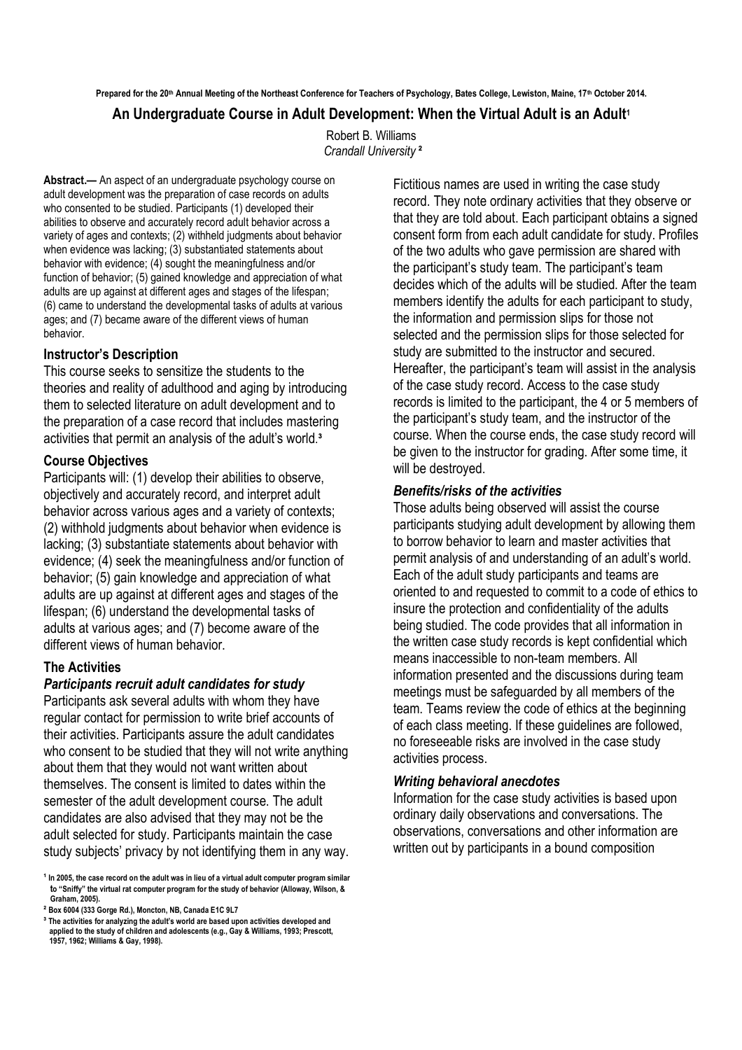**Prepared for the 20th Annual Meeting of the Northeast Conference for Teachers of Psychology, Bates College, Lewiston, Maine, 17th October 2014. An Undergraduate Course in Adult Development: When the Virtual Adult is an Adult<sup>1</sup>**

> Robert B. Williams *Crandall University* **²**

**Abstract.—** An aspect of an undergraduate psychology course on adult development was the preparation of case records on adults who consented to be studied. Participants (1) developed their abilities to observe and accurately record adult behavior across a variety of ages and contexts; (2) withheld judgments about behavior when evidence was lacking; (3) substantiated statements about behavior with evidence; (4) sought the meaningfulness and/or function of behavior; (5) gained knowledge and appreciation of what adults are up against at different ages and stages of the lifespan; (6) came to understand the developmental tasks of adults at various ages; and (7) became aware of the different views of human behavior.

## **Instructor's Description**

This course seeks to sensitize the students to the theories and reality of adulthood and aging by introducing them to selected literature on adult development and to the preparation of a case record that includes mastering activities that permit an analysis of the adult's world.**³**

## **Course Objectives**

Participants will: (1) develop their abilities to observe, objectively and accurately record, and interpret adult behavior across various ages and a variety of contexts; (2) withhold judgments about behavior when evidence is lacking; (3) substantiate statements about behavior with evidence; (4) seek the meaningfulness and/or function of behavior; (5) gain knowledge and appreciation of what adults are up against at different ages and stages of the lifespan; (6) understand the developmental tasks of adults at various ages; and (7) become aware of the different views of human behavior.

# **The Activities**

# *Participants recruit adult candidates for study*

Participants ask several adults with whom they have regular contact for permission to write brief accounts of their activities. Participants assure the adult candidates who consent to be studied that they will not write anything about them that they would not want written about themselves. The consent is limited to dates within the semester of the adult development course. The adult candidates are also advised that they may not be the adult selected for study. Participants maintain the case study subjects' privacy by not identifying them in any way. Fictitious names are used in writing the case study record. They note ordinary activities that they observe or that they are told about. Each participant obtains a signed consent form from each adult candidate for study. Profiles of the two adults who gave permission are shared with the participant's study team. The participant's team decides which of the adults will be studied. After the team members identify the adults for each participant to study, the information and permission slips for those not selected and the permission slips for those selected for study are submitted to the instructor and secured. Hereafter, the participant's team will assist in the analysis of the case study record. Access to the case study records is limited to the participant, the 4 or 5 members of the participant's study team, and the instructor of the course. When the course ends, the case study record will be given to the instructor for grading. After some time, it will be destroyed.

## *Benefits/risks of the activities*

Those adults being observed will assist the course participants studying adult development by allowing them to borrow behavior to learn and master activities that permit analysis of and understanding of an adult's world. Each of the adult study participants and teams are oriented to and requested to commit to a code of ethics to insure the protection and confidentiality of the adults being studied. The code provides that all information in the written case study records is kept confidential which means inaccessible to non-team members. All information presented and the discussions during team meetings must be safeguarded by all members of the team. Teams review the code of ethics at the beginning of each class meeting. If these guidelines are followed, no foreseeable risks are involved in the case study activities process.

## *Writing behavioral anecdotes*

Information for the case study activities is based upon ordinary daily observations and conversations. The observations, conversations and other information are written out by participants in a bound composition

**¹ In 2005, the case record on the adult was in lieu of a virtual adult computer program similar to "Sniffy" the virtual rat computer program for the study of behavior (Alloway, Wilson, & Graham, 2005).**

**² Box 6004 (333 Gorge Rd.), Moncton, NB, Canada E1C 9L7**

**³ The activities for analyzing the adult's world are based upon activities developed and applied to the study of children and adolescents (e.g., Gay & Williams, 1993; Prescott, 1957, 1962; Williams & Gay, 1998).**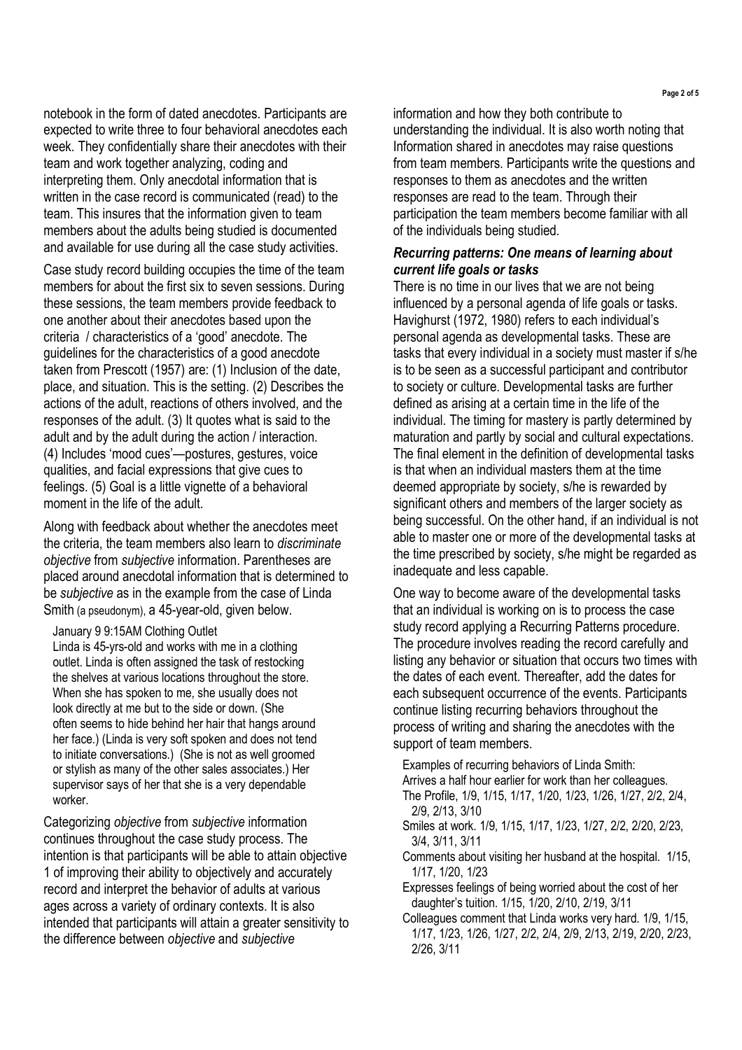notebook in the form of dated anecdotes. Participants are expected to write three to four behavioral anecdotes each week. They confidentially share their anecdotes with their team and work together analyzing, coding and interpreting them. Only anecdotal information that is written in the case record is communicated (read) to the team. This insures that the information given to team members about the adults being studied is documented and available for use during all the case study activities.

Case study record building occupies the time of the team members for about the first six to seven sessions. During these sessions, the team members provide feedback to one another about their anecdotes based upon the criteria / characteristics of a 'good' anecdote. The guidelines for the characteristics of a good anecdote taken from Prescott (1957) are: (1) Inclusion of the date, place, and situation. This is the setting. (2) Describes the actions of the adult, reactions of others involved, and the responses of the adult. (3) It quotes what is said to the adult and by the adult during the action / interaction. (4) Includes 'mood cues'—postures, gestures, voice qualities, and facial expressions that give cues to feelings. (5) Goal is a little vignette of a behavioral moment in the life of the adult.

Along with feedback about whether the anecdotes meet the criteria, the team members also learn to *discriminate objective* from *subjective* information. Parentheses are placed around anecdotal information that is determined to be *subjective* as in the example from the case of Linda Smith (a pseudonym), a 45-year-old, given below.

#### January 9 9:15AM Clothing Outlet

Linda is 45-yrs-old and works with me in a clothing outlet. Linda is often assigned the task of restocking the shelves at various locations throughout the store. When she has spoken to me, she usually does not look directly at me but to the side or down. (She often seems to hide behind her hair that hangs around her face.) (Linda is very soft spoken and does not tend to initiate conversations.) (She is not as well groomed or stylish as many of the other sales associates.) Her supervisor says of her that she is a very dependable worker.

Categorizing *objective* from *subjective* information continues throughout the case study process. The intention is that participants will be able to attain objective 1 of improving their ability to objectively and accurately record and interpret the behavior of adults at various ages across a variety of ordinary contexts. It is also intended that participants will attain a greater sensitivity to the difference between *objective* and *subjective*

information and how they both contribute to understanding the individual. It is also worth noting that Information shared in anecdotes may raise questions from team members. Participants write the questions and responses to them as anecdotes and the written responses are read to the team. Through their participation the team members become familiar with all of the individuals being studied.

## *Recurring patterns: One means of learning about current life goals or tasks*

There is no time in our lives that we are not being influenced by a personal agenda of life goals or tasks. Havighurst (1972, 1980) refers to each individual's personal agenda as developmental tasks. These are tasks that every individual in a society must master if s/he is to be seen as a successful participant and contributor to society or culture. Developmental tasks are further defined as arising at a certain time in the life of the individual. The timing for mastery is partly determined by maturation and partly by social and cultural expectations. The final element in the definition of developmental tasks is that when an individual masters them at the time deemed appropriate by society, s/he is rewarded by significant others and members of the larger society as being successful. On the other hand, if an individual is not able to master one or more of the developmental tasks at the time prescribed by society, s/he might be regarded as inadequate and less capable.

One way to become aware of the developmental tasks that an individual is working on is to process the case study record applying a Recurring Patterns procedure. The procedure involves reading the record carefully and listing any behavior or situation that occurs two times with the dates of each event. Thereafter, add the dates for each subsequent occurrence of the events. Participants continue listing recurring behaviors throughout the process of writing and sharing the anecdotes with the support of team members.

Examples of recurring behaviors of Linda Smith: Arrives a half hour earlier for work than her colleagues. The Profile, 1/9, 1/15, 1/17, 1/20, 1/23, 1/26, 1/27, 2/2, 2/4, 2/9, 2/13, 3/10

- Smiles at work. 1/9, 1/15, 1/17, 1/23, 1/27, 2/2, 2/20, 2/23, 3/4, 3/11, 3/11
- Comments about visiting her husband at the hospital. 1/15, 1/17, 1/20, 1/23
- Expresses feelings of being worried about the cost of her daughter's tuition. 1/15, 1/20, 2/10, 2/19, 3/11
- Colleagues comment that Linda works very hard. 1/9, 1/15, 1/17, 1/23, 1/26, 1/27, 2/2, 2/4, 2/9, 2/13, 2/19, 2/20, 2/23, 2/26, 3/11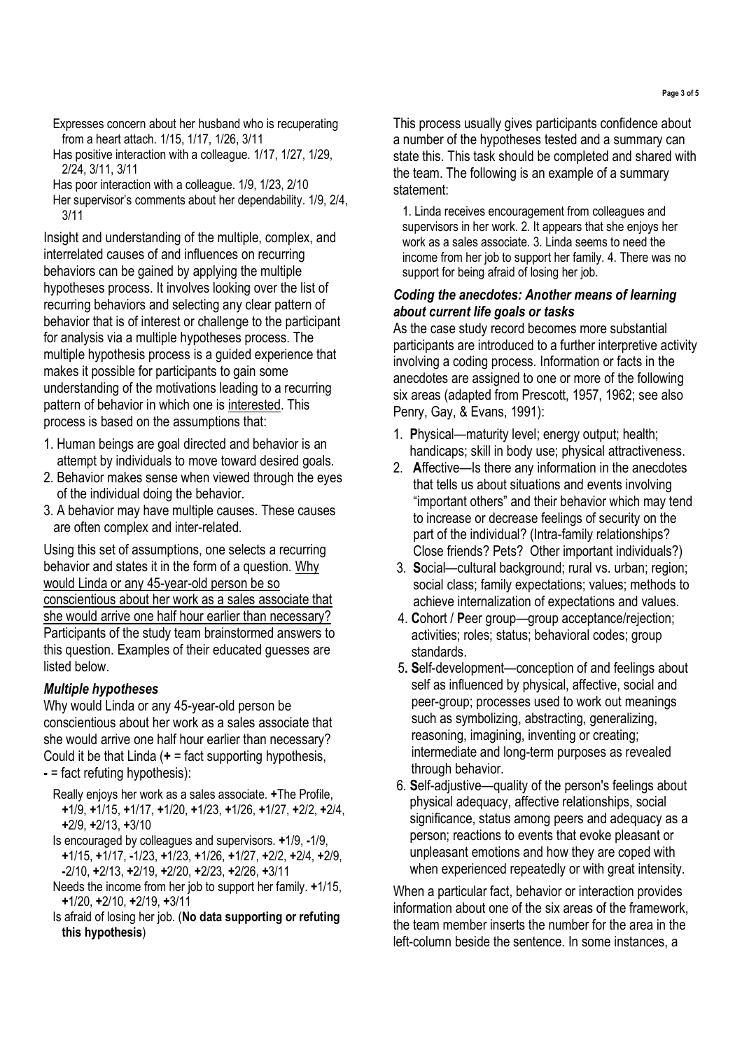- Expresses concern about her husband who is recuperating from a heart attach. 1/15, 1/17, 1/26, 3/11
- Has positive interaction with a colleague. 1/17, 1/27, 1/29, 2/24, 3/11, 3/11
- Has poor interaction with a colleague. 1/9, 1/23, 2/10
- Her supervisor's comments about her dependability. 1/9, 2/4, 3/11

Insight and understanding of the multiple, complex, and interrelated causes of and influences on recurring behaviors can be gained by applying the multiple hypotheses process. It involves looking over the list of recurring behaviors and selecting any clear pattern of behavior that is of interest or challenge to the participant for analysis via a multiple hypotheses process. The multiple hypothesis process is a guided experience that makes it possible for participants to gain some understanding of the motivations leading to a recurring pattern of behavior in which one is interested. This process is based on the assumptions that:

- 1. Human beings are goal directed and behavior is an attempt by individuals to move toward desired goals.
- 2. Behavior makes sense when viewed through the eyes of the individual doing the behavior.
- 3. A behavior may have multiple causes. These causes are often complex and inter-related.

Using this set of assumptions, one selects a recurring behavior and states it in the form of a question. Why would Linda or any 45-year-old person be so conscientious about her work as a sales associate that she would arrive one half hour earlier than necessary? Participants of the study team brainstormed answers to this question. Examples of their educated guesses are listed below.

## *Multiple hypotheses*

Why would Linda or any 45-year-old person be conscientious about her work as a sales associate that she would arrive one half hour earlier than necessary? Could it be that Linda (**+** = fact supporting hypothesis, **-** = fact refuting hypothesis):

- Really enjoys her work as a sales associate. **+**The Profile, **+**1/9, **+**1/15, **+**1/17, **+**1/20, **+**1/23, **+**1/26, **+**1/27, **+**2/2, **+**2/4, **+**2/9, **+**2/13, **+**3/10
- Is encouraged by colleagues and supervisors. **+**1/9, **-**1/9, **+**1/15, **+**1/17, **-**1/23, **+**1/23, **+**1/26, **+**1/27, **+**2/2, **+**2/4, **+**2/9, **-**2/10, **+**2/13, **+**2/19, **+**2/20, **+**2/23, **+**2/26, **+**3/11
- Needs the income from her job to support her family. **+**1/15, **+**1/20, **+**2/10, **+**2/19, **+**3/11
- Is afraid of losing her job. (**No data supporting or refuting this hypothesis**)

This process usually gives participants confidence about a number of the hypotheses tested and a summary can state this. This task should be completed and shared with the team. The following is an example of a summary statement:

1. Linda receives encouragement from colleagues and supervisors in her work. 2. It appears that she enjoys her work as a sales associate. 3. Linda seems to need the income from her job to support her family. 4. There was no support for being afraid of losing her job.

#### *Coding the anecdotes: Another means of learning about current life goals or tasks*

As the case study record becomes more substantial participants are introduced to a further interpretive activity involving a coding process. Information or facts in the anecdotes are assigned to one or more of the following six areas (adapted from Prescott, 1957, 1962; see also Penry, Gay, & Evans, 1991):

- 1. **P**hysical—maturity level; energy output; health; handicaps; skill in body use; physical attractiveness.
- 2. **A**ffective—Is there any information in the anecdotes that tells us about situations and events involving "important others" and their behavior which may tend to increase or decrease feelings of security on the part of the individual? (Intra-family relationships? Close friends? Pets? Other important individuals?)
- 3. **S**ocial—cultural background; rural vs. urban; region; social class; family expectations; values; methods to achieve internalization of expectations and values.
- 4. **C**ohort / **P**eer group—group acceptance/rejection; activities; roles; status; behavioral codes; group standards.
- 5**. S**elf-development—conception of and feelings about self as influenced by physical, affective, social and peer-group; processes used to work out meanings such as symbolizing, abstracting, generalizing, reasoning, imagining, inventing or creating; intermediate and long-term purposes as revealed through behavior.
- 6. **S**elf-adjustive—quality of the person's feelings about physical adequacy, affective relationships, social significance, status among peers and adequacy as a person; reactions to events that evoke pleasant or unpleasant emotions and how they are coped with when experienced repeatedly or with great intensity.

When a particular fact, behavior or interaction provides information about one of the six areas of the framework, the team member inserts the number for the area in the left-column beside the sentence. In some instances, a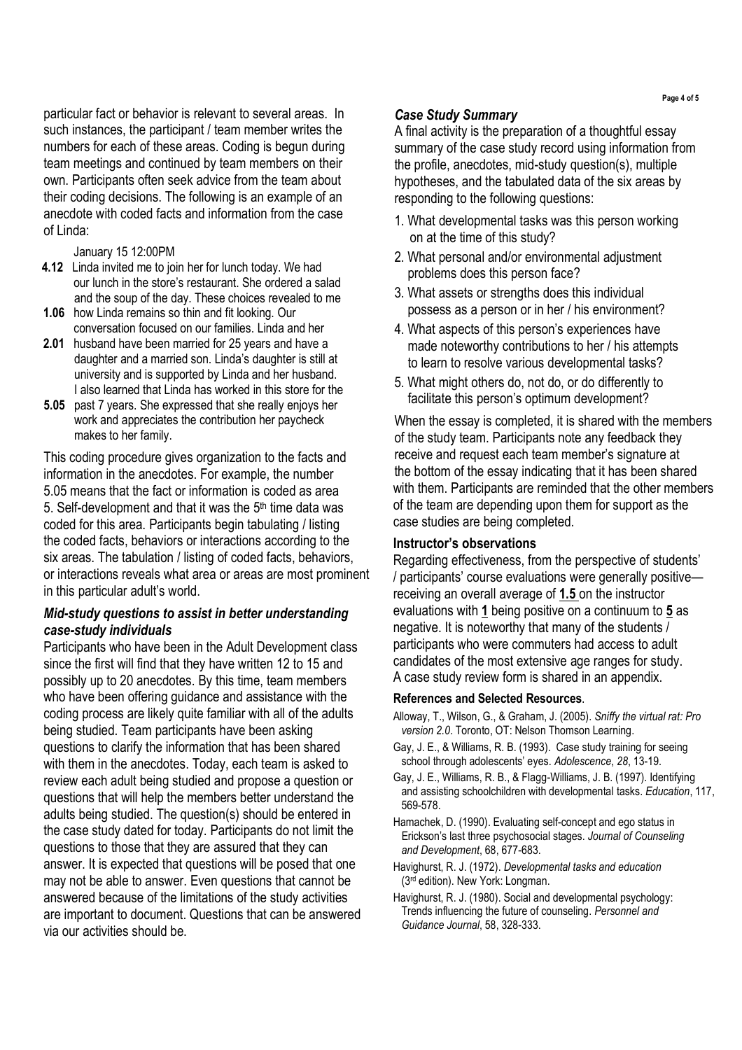particular fact or behavior is relevant to several areas. In such instances, the participant / team member writes the numbers for each of these areas. Coding is begun during team meetings and continued by team members on their own. Participants often seek advice from the team about their coding decisions. The following is an example of an anecdote with coded facts and information from the case of Linda:

January 15 12:00PM

- **4.12** Linda invited me to join her for lunch today. We had our lunch in the store's restaurant. She ordered a salad and the soup of the day. These choices revealed to me
- **1.06** how Linda remains so thin and fit looking. Our conversation focused on our families. Linda and her
- **2.01** husband have been married for 25 years and have a daughter and a married son. Linda's daughter is still at university and is supported by Linda and her husband. I also learned that Linda has worked in this store for the
- **5.05** past 7 years. She expressed that she really enjoys her work and appreciates the contribution her paycheck makes to her family.

This coding procedure gives organization to the facts and information in the anecdotes. For example, the number 5.05 means that the fact or information is coded as area 5. Self-development and that it was the 5th time data was coded for this area. Participants begin tabulating / listing the coded facts, behaviors or interactions according to the six areas. The tabulation / listing of coded facts, behaviors, or interactions reveals what area or areas are most prominent in this particular adult's world.

#### *Mid-study questions to assist in better understanding case-study individuals*

Participants who have been in the Adult Development class since the first will find that they have written 12 to 15 and possibly up to 20 anecdotes. By this time, team members who have been offering guidance and assistance with the coding process are likely quite familiar with all of the adults being studied. Team participants have been asking questions to clarify the information that has been shared with them in the anecdotes. Today, each team is asked to review each adult being studied and propose a question or questions that will help the members better understand the adults being studied. The question(s) should be entered in the case study dated for today. Participants do not limit the questions to those that they are assured that they can answer. It is expected that questions will be posed that one may not be able to answer. Even questions that cannot be answered because of the limitations of the study activities are important to document. Questions that can be answered via our activities should be.

#### *Case Study Summary*

A final activity is the preparation of a thoughtful essay summary of the case study record using information from the profile, anecdotes, mid-study question(s), multiple hypotheses, and the tabulated data of the six areas by responding to the following questions:

- 1. What developmental tasks was this person working on at the time of this study?
- 2. What personal and/or environmental adjustment problems does this person face?
- 3. What assets or strengths does this individual possess as a person or in her / his environment?
- 4. What aspects of this person's experiences have made noteworthy contributions to her / his attempts to learn to resolve various developmental tasks?
- 5. What might others do, not do, or do differently to facilitate this person's optimum development?

When the essay is completed, it is shared with the members of the study team. Participants note any feedback they receive and request each team member's signature at the bottom of the essay indicating that it has been shared with them. Participants are reminded that the other members of the team are depending upon them for support as the case studies are being completed.

#### **Instructor's observations**

Regarding effectiveness, from the perspective of students' / participants' course evaluations were generally positive receiving an overall average of **1.5** on the instructor evaluations with **1** being positive on a continuum to **5** as negative. It is noteworthy that many of the students / participants who were commuters had access to adult candidates of the most extensive age ranges for study. A case study review form is shared in an appendix.

#### **References and Selected Resources**.

- Alloway, T., Wilson, G., & Graham, J. (2005). *Sniffy the virtual rat: Pro version 2.0*. Toronto, OT: Nelson Thomson Learning.
- Gay, J. E., & Williams, R. B. (1993). Case study training for seeing school through adolescents' eyes. *Adolescence*, *28*, 13-19.
- Gay, J. E., Williams, R. B., & Flagg-Williams, J. B. (1997). Identifying and assisting schoolchildren with developmental tasks. *Education*, 117, 569-578.
- Hamachek, D. (1990). Evaluating self-concept and ego status in Erickson's last three psychosocial stages. *Journal of Counseling and Development*, 68, 677-683.
- Havighurst, R. J. (1972). *Developmental tasks and education* (3rd edition). New York: Longman.
- Havighurst, R. J. (1980). Social and developmental psychology: Trends influencing the future of counseling. *Personnel and Guidance Journal*, 58, 328-333.